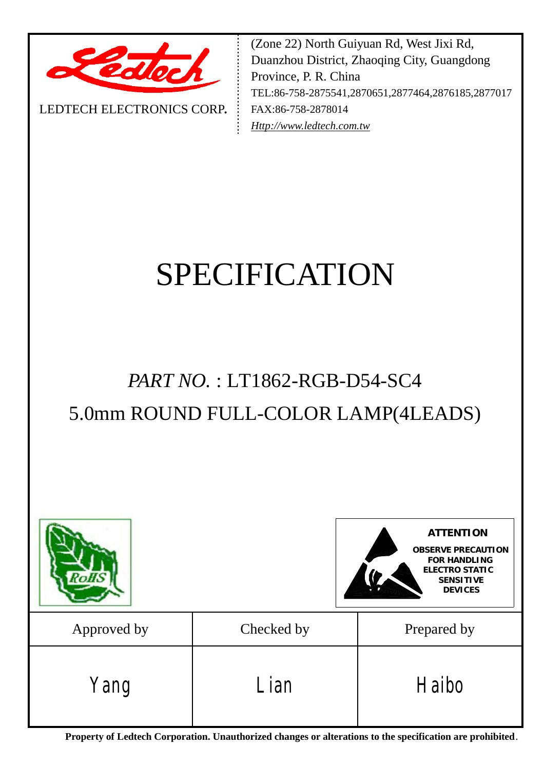

LEDTECH ELECTRONICS CORP**.**

(Zone 22) North Guiyuan Rd, West Jixi Rd, Duanzhou District, Zhaoqing City, Guangdong Province, P. R. China TEL:86-758-2875541,2870651,2877464,2876185,2877017 FAX:86-758-2878014 *[Http://www.ledtech.com.tw](http://www.ledtech.com.tw)*

# SPECIFICATION

## *PART NO.* : LT1862-RGB-D54-SC4 5.0mm ROUND FULL-COLOR LAMP(4LEADS)

|             |            | <b>ATTENTION</b><br><b>OBSERVE PRECAUTION</b><br><b>FOR HANDLING</b><br><b>ELECTRO STATIC</b><br><b>SENSITIVE</b><br><b>DEVICES</b> |  |  |
|-------------|------------|-------------------------------------------------------------------------------------------------------------------------------------|--|--|
| Approved by | Checked by | Prepared by                                                                                                                         |  |  |
| Yang        | Lian       | Haibo                                                                                                                               |  |  |

**Property of Ledtech Corporation. Unauthorized changes or alterations to the specification are prohibited***.*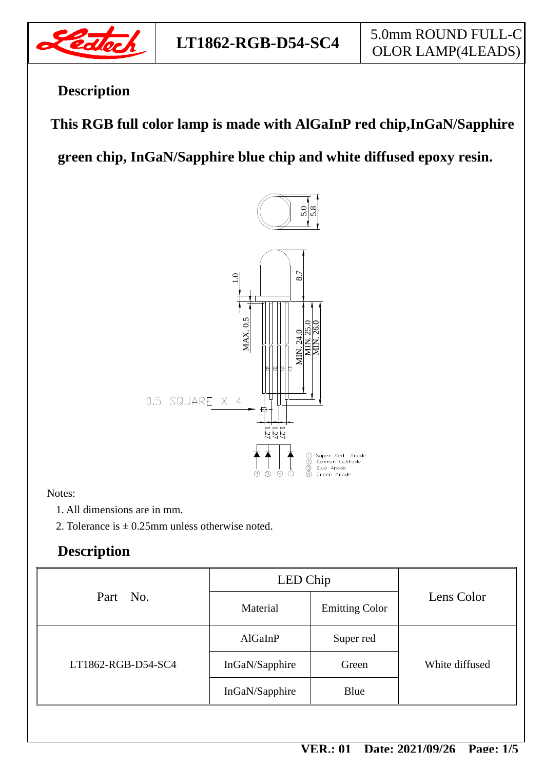

## **Description**

 **This RGB full color lamp is made with AlGaInP red chip,InGaN/Sapphire** 

**green chip, InGaN/Sapphire blue chip and white diffused epoxy resin.** 



#### Notes:

1. All dimensions are in mm.

2. Tolerance is  $\pm$  0.25mm unless otherwise noted.

## **Description**

| Part No.           | LED Chip       |                       |                |  |
|--------------------|----------------|-----------------------|----------------|--|
|                    | Material       | <b>Emitting Color</b> | Lens Color     |  |
| LT1862-RGB-D54-SC4 | AlGaInP        | Super red             |                |  |
|                    | InGaN/Sapphire | Green                 | White diffused |  |
|                    | InGaN/Sapphire | Blue                  |                |  |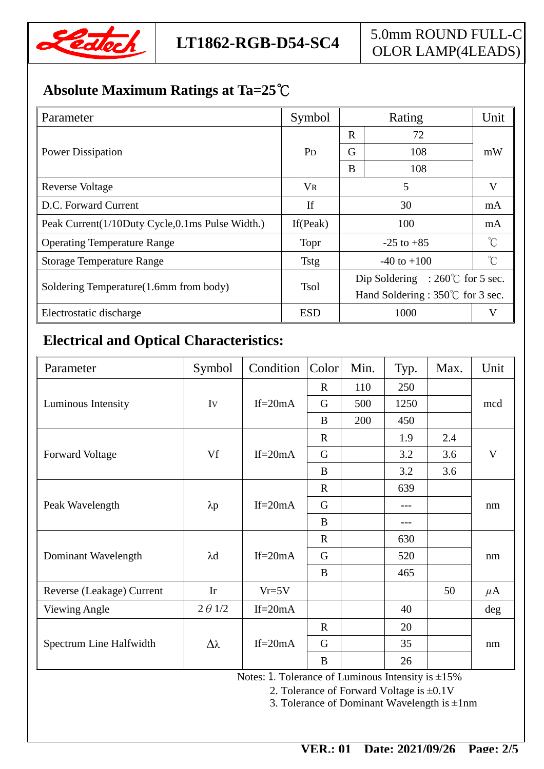

## **Absolute Maximum Ratings at Ta=25℃**

| Parameter                                       | Symbol                | Rating                                    |     | Unit        |  |
|-------------------------------------------------|-----------------------|-------------------------------------------|-----|-------------|--|
|                                                 | <b>P</b> <sub>D</sub> | R<br>72                                   |     |             |  |
| <b>Power Dissipation</b>                        |                       | G                                         | 108 | mW          |  |
|                                                 |                       | B                                         | 108 |             |  |
| Reverse Voltage                                 | <b>VR</b>             |                                           | V   |             |  |
| D.C. Forward Current                            | If                    | 30                                        |     | mA          |  |
| Peak Current(1/10Duty Cycle,0.1ms Pulse Width.) | If (Peak)             | 100                                       |     | mA          |  |
| <b>Operating Temperature Range</b>              | Topr                  | $-25$ to $+85$                            |     | $^{\circ}C$ |  |
| <b>Storage Temperature Range</b>                | <b>Tstg</b>           | $-40$ to $+100$                           |     | $^{\circ}C$ |  |
| Soldering Temperature (1.6mm from body)         | <b>Tsol</b>           | Dip Soldering : $260^{\circ}$ for 5 sec.  |     |             |  |
|                                                 |                       | Hand Soldering : $350^{\circ}$ for 3 sec. |     |             |  |
| Electrostatic discharge                         | <b>ESD</b>            | 1000                                      |     |             |  |

## **Electrical and Optical Characteristics:**

| Parameter                 | Symbol         | Condition   | Color        | Min. | Typ. | Max. | Unit    |
|---------------------------|----------------|-------------|--------------|------|------|------|---------|
|                           |                |             | $\mathbf R$  | 110  | 250  |      |         |
| Luminous Intensity        | Iv             | $If = 20mA$ | G            | 500  | 1250 |      | mcd     |
|                           |                |             | B            | 200  | 450  |      |         |
| <b>Forward Voltage</b>    | Vf             | If= $20mA$  | $\mathbb{R}$ |      | 1.9  | 2.4  | V       |
|                           |                |             | G            |      | 3.2  | 3.6  |         |
|                           |                |             | B            |      | 3.2  | 3.6  |         |
| Peak Wavelength           | $\lambda p$    | $If = 20mA$ | $\mathbb{R}$ |      | 639  |      | nm      |
|                           |                |             | G            |      | ---  |      |         |
|                           |                |             | B            |      | ---  |      |         |
| Dominant Wavelength       | $\lambda$ d    | $If = 20mA$ | $\mathbf R$  |      | 630  |      | nm      |
|                           |                |             | G            |      | 520  |      |         |
|                           |                |             | B            |      | 465  |      |         |
| Reverse (Leakage) Current | Ir             | $Vr=5V$     |              |      |      | 50   | $\mu$ A |
| <b>Viewing Angle</b>      | $2 \theta$ 1/2 | $If = 20mA$ |              |      | 40   |      | deg     |
| Spectrum Line Halfwidth   | Δλ             | $If = 20mA$ | $\mathbf R$  |      | 20   |      | nm      |
|                           |                |             | G            |      | 35   |      |         |
|                           |                |             | $\bf{B}$     |      | 26   |      |         |

Notes: 1. Tolerance of Luminous Intensity is ±15%

2. Tolerance of Forward Voltage is ±0.1V

3. Tolerance of Dominant Wavelength is  $\pm 1$ nm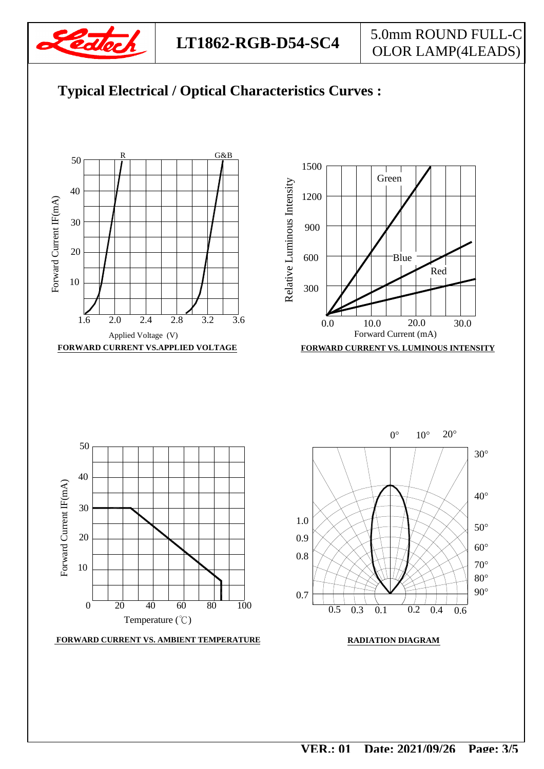



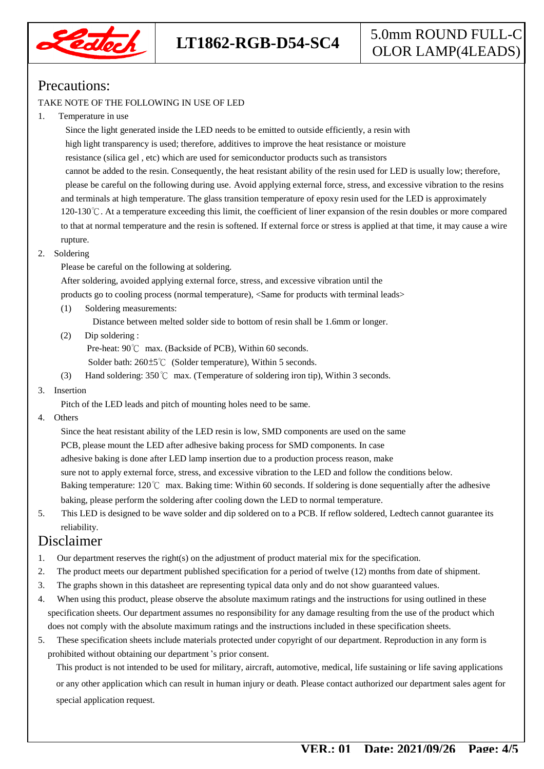

### Precautions:

#### TAKE NOTE OF THE FOLLOWING IN USE OF LED

#### 1. Temperature in use

 Since the light generated inside the LED needs to be emitted to outside efficiently, a resin with high light transparency is used; therefore, additives to improve the heat resistance or moisture resistance (silica gel , etc) which are used for semiconductor products such as transistors cannot be added to the resin. Consequently, the heat resistant ability of the resin used for LED is usually low; therefore, please be careful on the following during use. Avoid applying external force, stress, and excessive vibration to the resins and terminals at high temperature. The glass transition temperature of epoxy resin used for the LED is approximately 120-130℃. At a temperature exceeding this limit, the coefficient of liner expansion of the resin doubles or more compared to that at normal temperature and the resin is softened. If external force or stress is applied at that time, it may cause a wire rupture.

#### 2. Soldering

Please be careful on the following at soldering.

After soldering, avoided applying external force, stress, and excessive vibration until the

products go to cooling process (normal temperature), <Same for products with terminal leads>

(1) Soldering measurements:

Distance between melted solder side to bottom of resin shall be 1.6mm or longer.

(2) Dip soldering :

Pre-heat: 90℃ max. (Backside of PCB), Within 60 seconds.

Solder bath: 260±5℃ (Solder temperature), Within 5 seconds.

(3) Hand soldering: 350℃ max. (Temperature of soldering iron tip), Within 3 seconds.

#### 3. Insertion

Pitch of the LED leads and pitch of mounting holes need to be same.

4. Others

 Since the heat resistant ability of the LED resin is low, SMD components are used on the same PCB, please mount the LED after adhesive baking process for SMD components. In case adhesive baking is done after LED lamp insertion due to a production process reason, make sure not to apply external force, stress, and excessive vibration to the LED and follow the conditions below. Baking temperature: 120℃ max. Baking time: Within 60 seconds. If soldering is done sequentially after the adhesive baking, please perform the soldering after cooling down the LED to normal temperature.

5. This LED is designed to be wave solder and dip soldered on to a PCB. If reflow soldered, Ledtech cannot guarantee its reliability.

#### Disclaimer

- 1. Our department reserves the right(s) on the adjustment of product material mix for the specification.
- 2. The product meets our department published specification for a period of twelve (12) months from date of shipment.
- 3. The graphs shown in this datasheet are representing typical data only and do not show guaranteed values.
- 4. When using this product, please observe the absolute maximum ratings and the instructions for using outlined in these specification sheets. Our department assumes no responsibility for any damage resulting from the use of the product which does not comply with the absolute maximum ratings and the instructions included in these specification sheets.
- 5. These specification sheets include materials protected under copyright of our department. Reproduction in any form is prohibited without obtaining our department's prior consent.

This product is not intended to be used for military, aircraft, automotive, medical, life sustaining or life saving applications or any other application which can result in human injury or death. Please contact authorized our department sales agent for special application request.